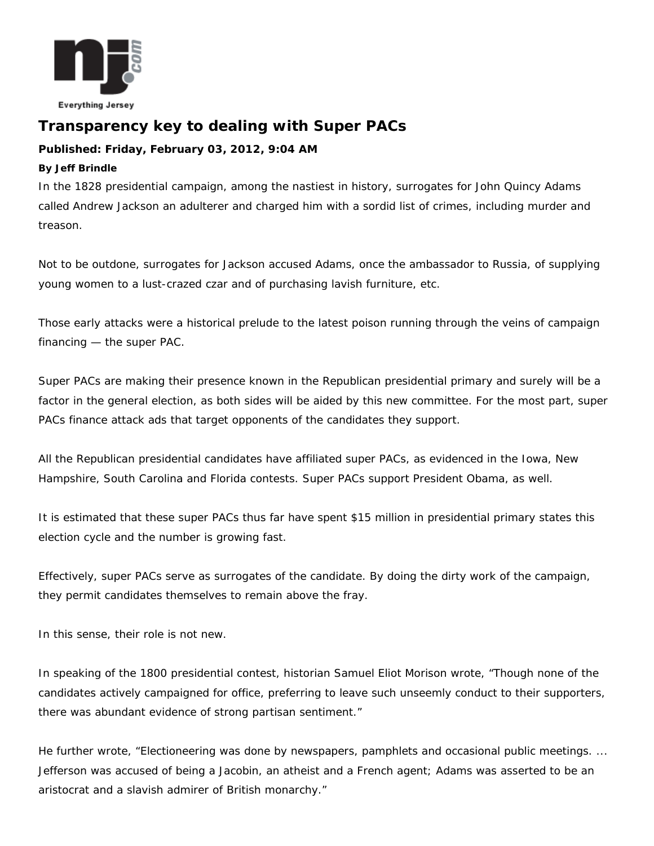

## **Transparency key to dealing with Super PACs**

## **Published: Friday, February 03, 2012, 9:04 AM**

## **By Jeff Brindle**

In the 1828 presidential campaign, among the nastiest in history, surrogates for John Quincy Adams called Andrew Jackson an adulterer and charged him with a sordid list of crimes, including murder and treason.

Not to be outdone, surrogates for Jackson accused Adams, once the ambassador to Russia, of supplying young women to a lust-crazed czar and of purchasing lavish furniture, etc.

Those early attacks were a historical prelude to the latest poison running through the veins of campaign financing — the super PAC.

Super PACs are making their presence known in the Republican presidential primary and surely will be a factor in the general election, as both sides will be aided by this new committee. For the most part, super PACs finance attack ads that target opponents of the candidates they support.

All the Republican presidential candidates have affiliated super PACs, as evidenced in the Iowa, New Hampshire, South Carolina and Florida contests. Super PACs support President Obama, as well.

It is estimated that these super PACs thus far have spent \$15 million in presidential primary states this election cycle and the number is growing fast.

Effectively, super PACs serve as surrogates of the candidate. By doing the dirty work of the campaign, they permit candidates themselves to remain above the fray.

In this sense, their role is not new.

In speaking of the 1800 presidential contest, historian Samuel Eliot Morison wrote, "Though none of the candidates actively campaigned for office, preferring to leave such unseemly conduct to their supporters, there was abundant evidence of strong partisan sentiment."

He further wrote, "Electioneering was done by newspapers, pamphlets and occasional public meetings. ... Jefferson was accused of being a Jacobin, an atheist and a French agent; Adams was asserted to be an aristocrat and a slavish admirer of British monarchy."